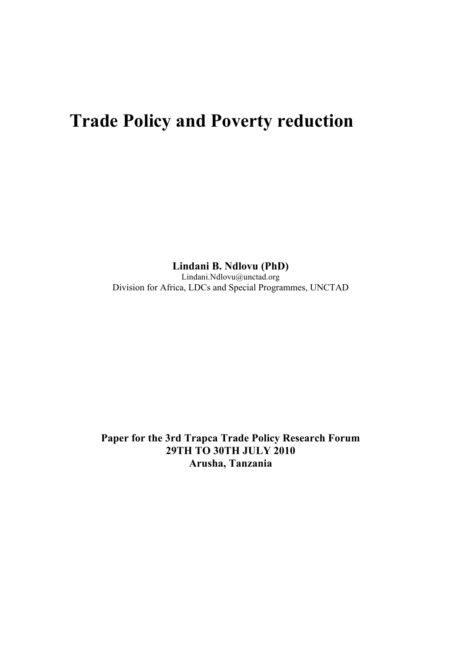# **Trade Policy and Poverty reduction**

**Lindani B. Ndlovu (PhD)**

Lindani.Ndlovu@unctad.org Division for Africa, LDCs and Special Programmes, UNCTAD

**Paper for the 3rd Trapca Trade Policy Research Forum 29TH TO 30TH JULY 2010 Arusha, Tanzania**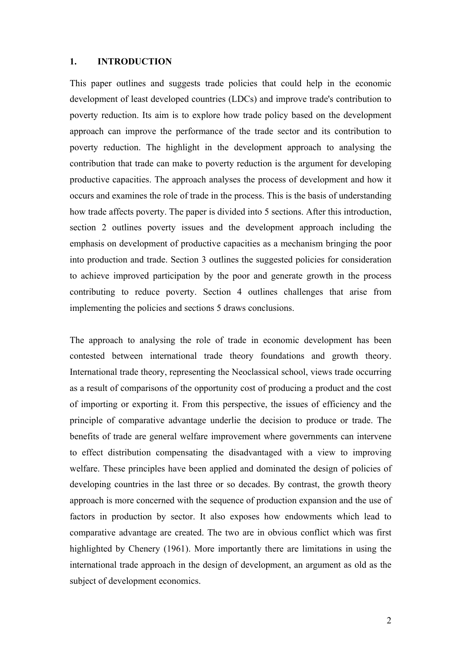## **1. INTRODUCTION**

This paper outlines and suggests trade policies that could help in the economic development of least developed countries (LDCs) and improve trade's contribution to poverty reduction. Its aim is to explore how trade policy based on the development approach can improve the performance of the trade sector and its contribution to poverty reduction. The highlight in the development approach to analysing the contribution that trade can make to poverty reduction is the argument for developing productive capacities. The approach analyses the process of development and how it occurs and examines the role of trade in the process. This is the basis of understanding how trade affects poverty. The paper is divided into 5 sections. After this introduction, section 2 outlines poverty issues and the development approach including the emphasis on development of productive capacities as a mechanism bringing the poor into production and trade. Section 3 outlines the suggested policies for consideration to achieve improved participation by the poor and generate growth in the process contributing to reduce poverty. Section 4 outlines challenges that arise from implementing the policies and sections 5 draws conclusions.

The approach to analysing the role of trade in economic development has been contested between international trade theory foundations and growth theory. International trade theory, representing the Neoclassical school, views trade occurring as a result of comparisons of the opportunity cost of producing a product and the cost of importing or exporting it. From this perspective, the issues of efficiency and the principle of comparative advantage underlie the decision to produce or trade. The benefits of trade are general welfare improvement where governments can intervene to effect distribution compensating the disadvantaged with a view to improving welfare. These principles have been applied and dominated the design of policies of developing countries in the last three or so decades. By contrast, the growth theory approach is more concerned with the sequence of production expansion and the use of factors in production by sector. It also exposes how endowments which lead to comparative advantage are created. The two are in obvious conflict which was first highlighted by Chenery (1961). More importantly there are limitations in using the international trade approach in the design of development, an argument as old as the subject of development economics.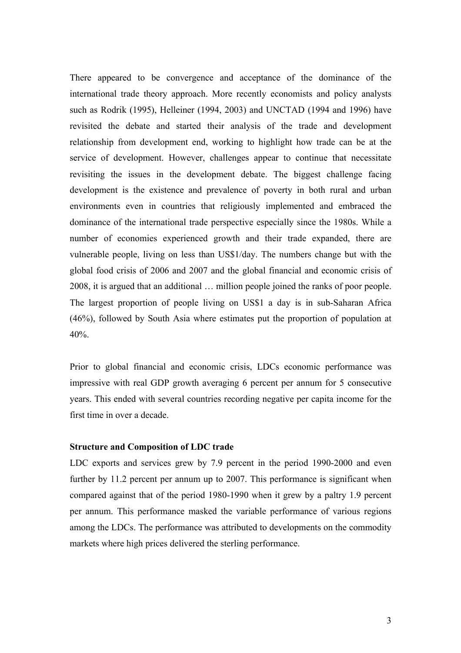There appeared to be convergence and acceptance of the dominance of the international trade theory approach. More recently economists and policy analysts such as Rodrik (1995), Helleiner (1994, 2003) and UNCTAD (1994 and 1996) have revisited the debate and started their analysis of the trade and development relationship from development end, working to highlight how trade can be at the service of development. However, challenges appear to continue that necessitate revisiting the issues in the development debate. The biggest challenge facing development is the existence and prevalence of poverty in both rural and urban environments even in countries that religiously implemented and embraced the dominance of the international trade perspective especially since the 1980s. While a number of economies experienced growth and their trade expanded, there are vulnerable people, living on less than US\$1/day. The numbers change but with the global food crisis of 2006 and 2007 and the global financial and economic crisis of 2008, it is argued that an additional … million people joined the ranks of poor people. The largest proportion of people living on US\$1 a day is in sub-Saharan Africa (46%), followed by South Asia where estimates put the proportion of population at 40%.

Prior to global financial and economic crisis, LDCs economic performance was impressive with real GDP growth averaging 6 percent per annum for 5 consecutive years. This ended with several countries recording negative per capita income for the first time in over a decade.

#### **Structure and Composition of LDC trade**

LDC exports and services grew by 7.9 percent in the period 1990-2000 and even further by 11.2 percent per annum up to 2007. This performance is significant when compared against that of the period 1980-1990 when it grew by a paltry 1.9 percent per annum. This performance masked the variable performance of various regions among the LDCs. The performance was attributed to developments on the commodity markets where high prices delivered the sterling performance.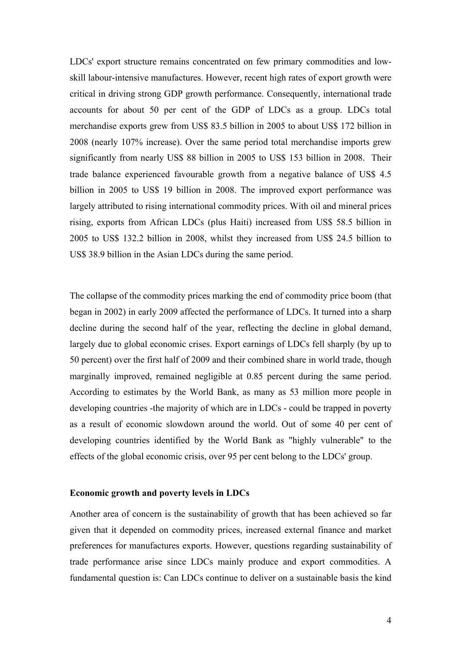LDCs' export structure remains concentrated on few primary commodities and lowskill labour-intensive manufactures. However, recent high rates of export growth were critical in driving strong GDP growth performance. Consequently, international trade accounts for about 50 per cent of the GDP of LDCs as a group. LDCs total merchandise exports grew from US\$ 83.5 billion in 2005 to about US\$ 172 billion in 2008 (nearly 107% increase). Over the same period total merchandise imports grew significantly from nearly US\$ 88 billion in 2005 to US\$ 153 billion in 2008. Their trade balance experienced favourable growth from a negative balance of US\$ 4.5 billion in 2005 to US\$ 19 billion in 2008. The improved export performance was largely attributed to rising international commodity prices. With oil and mineral prices rising, exports from African LDCs (plus Haiti) increased from US\$ 58.5 billion in 2005 to US\$ 132.2 billion in 2008, whilst they increased from US\$ 24.5 billion to US\$ 38.9 billion in the Asian LDCs during the same period.

The collapse of the commodity prices marking the end of commodity price boom (that began in 2002) in early 2009 affected the performance of LDCs. It turned into a sharp decline during the second half of the year, reflecting the decline in global demand, largely due to global economic crises. Export earnings of LDCs fell sharply (by up to 50 percent) over the first half of 2009 and their combined share in world trade, though marginally improved, remained negligible at 0.85 percent during the same period. According to estimates by the World Bank, as many as 53 million more people in developing countries -the majority of which are in LDCs - could be trapped in poverty as a result of economic slowdown around the world. Out of some 40 per cent of developing countries identified by the World Bank as "highly vulnerable" to the effects of the global economic crisis, over 95 per cent belong to the LDCs' group.

## **Economic growth and poverty levels in LDCs**

Another area of concern is the sustainability of growth that has been achieved so far given that it depended on commodity prices, increased external finance and market preferences for manufactures exports. However, questions regarding sustainability of trade performance arise since LDCs mainly produce and export commodities. A fundamental question is: Can LDCs continue to deliver on a sustainable basis the kind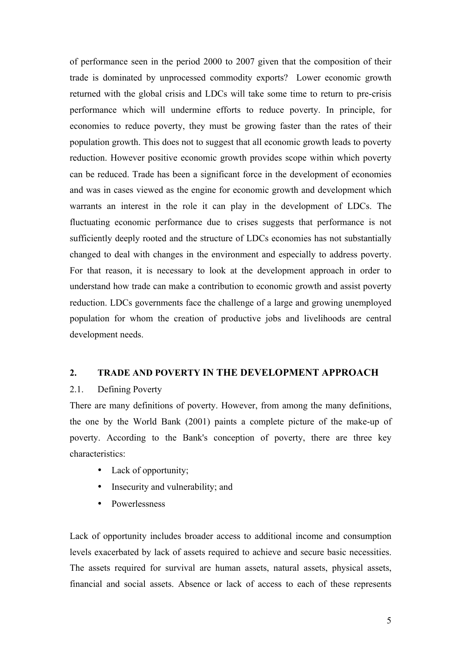of performance seen in the period 2000 to 2007 given that the composition of their trade is dominated by unprocessed commodity exports? Lower economic growth returned with the global crisis and LDCs will take some time to return to pre-crisis performance which will undermine efforts to reduce poverty. In principle, for economies to reduce poverty, they must be growing faster than the rates of their population growth. This does not to suggest that all economic growth leads to poverty reduction. However positive economic growth provides scope within which poverty can be reduced. Trade has been a significant force in the development of economies and was in cases viewed as the engine for economic growth and development which warrants an interest in the role it can play in the development of LDCs. The fluctuating economic performance due to crises suggests that performance is not sufficiently deeply rooted and the structure of LDCs economies has not substantially changed to deal with changes in the environment and especially to address poverty. For that reason, it is necessary to look at the development approach in order to understand how trade can make a contribution to economic growth and assist poverty reduction. LDCs governments face the challenge of a large and growing unemployed population for whom the creation of productive jobs and livelihoods are central development needs.

## **2. TRADE AND POVERTY IN THE DEVELOPMENT APPROACH**

# 2.1. Defining Poverty

There are many definitions of poverty. However, from among the many definitions, the one by the World Bank (2001) paints a complete picture of the make-up of poverty. According to the Bank's conception of poverty, there are three key characteristics:

- Lack of opportunity;
- Insecurity and vulnerability; and
- Powerlessness

Lack of opportunity includes broader access to additional income and consumption levels exacerbated by lack of assets required to achieve and secure basic necessities. The assets required for survival are human assets, natural assets, physical assets, financial and social assets. Absence or lack of access to each of these represents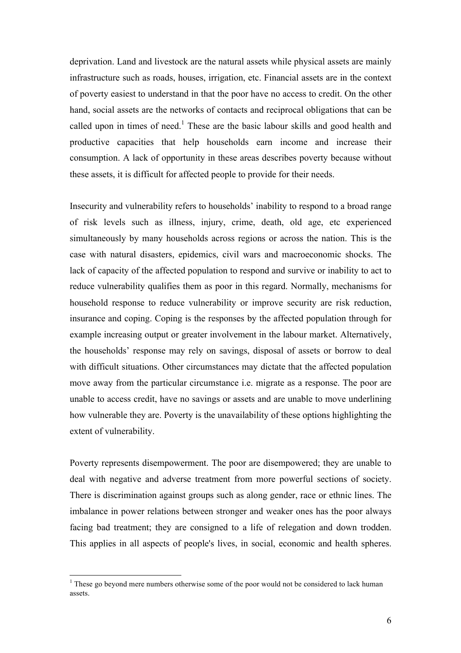deprivation. Land and livestock are the natural assets while physical assets are mainly infrastructure such as roads, houses, irrigation, etc. Financial assets are in the context of poverty easiest to understand in that the poor have no access to credit. On the other hand, social assets are the networks of contacts and reciprocal obligations that can be called upon in times of need.<sup>1</sup> These are the basic labour skills and good health and productive capacities that help households earn income and increase their consumption. A lack of opportunity in these areas describes poverty because without these assets, it is difficult for affected people to provide for their needs.

Insecurity and vulnerability refers to households' inability to respond to a broad range of risk levels such as illness, injury, crime, death, old age, etc experienced simultaneously by many households across regions or across the nation. This is the case with natural disasters, epidemics, civil wars and macroeconomic shocks. The lack of capacity of the affected population to respond and survive or inability to act to reduce vulnerability qualifies them as poor in this regard. Normally, mechanisms for household response to reduce vulnerability or improve security are risk reduction, insurance and coping. Coping is the responses by the affected population through for example increasing output or greater involvement in the labour market. Alternatively, the households' response may rely on savings, disposal of assets or borrow to deal with difficult situations. Other circumstances may dictate that the affected population move away from the particular circumstance i.e. migrate as a response. The poor are unable to access credit, have no savings or assets and are unable to move underlining how vulnerable they are. Poverty is the unavailability of these options highlighting the extent of vulnerability.

Poverty represents disempowerment. The poor are disempowered; they are unable to deal with negative and adverse treatment from more powerful sections of society. There is discrimination against groups such as along gender, race or ethnic lines. The imbalance in power relations between stronger and weaker ones has the poor always facing bad treatment; they are consigned to a life of relegation and down trodden. This applies in all aspects of people's lives, in social, economic and health spheres.

 $1$  These go beyond mere numbers otherwise some of the poor would not be considered to lack human assets.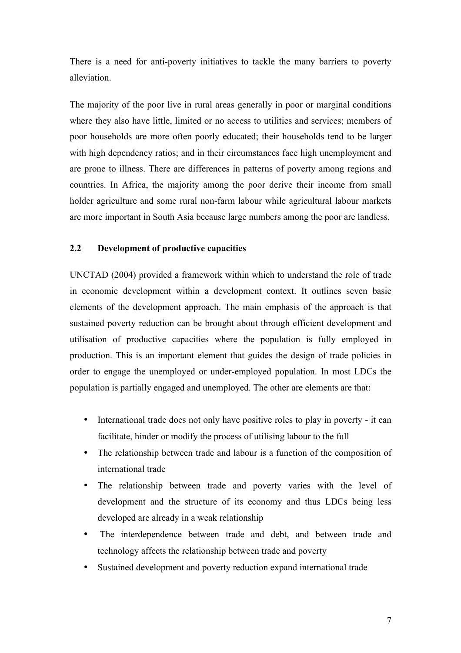There is a need for anti-poverty initiatives to tackle the many barriers to poverty alleviation.

The majority of the poor live in rural areas generally in poor or marginal conditions where they also have little, limited or no access to utilities and services; members of poor households are more often poorly educated; their households tend to be larger with high dependency ratios; and in their circumstances face high unemployment and are prone to illness. There are differences in patterns of poverty among regions and countries. In Africa, the majority among the poor derive their income from small holder agriculture and some rural non-farm labour while agricultural labour markets are more important in South Asia because large numbers among the poor are landless.

# **2.2 Development of productive capacities**

UNCTAD (2004) provided a framework within which to understand the role of trade in economic development within a development context. It outlines seven basic elements of the development approach. The main emphasis of the approach is that sustained poverty reduction can be brought about through efficient development and utilisation of productive capacities where the population is fully employed in production. This is an important element that guides the design of trade policies in order to engage the unemployed or under-employed population. In most LDCs the population is partially engaged and unemployed. The other are elements are that:

- International trade does not only have positive roles to play in poverty it can facilitate, hinder or modify the process of utilising labour to the full
- The relationship between trade and labour is a function of the composition of international trade
- The relationship between trade and poverty varies with the level of development and the structure of its economy and thus LDCs being less developed are already in a weak relationship
- The interdependence between trade and debt, and between trade and technology affects the relationship between trade and poverty
- Sustained development and poverty reduction expand international trade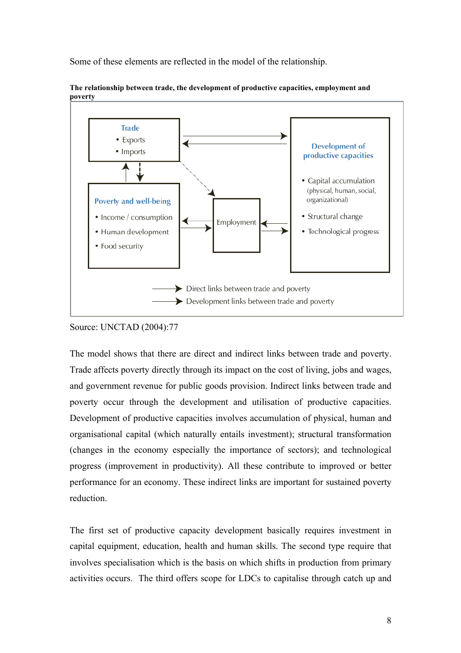Some of these elements are reflected in the model of the relationship.



**The relationship between trade, the development of productive capacities, employment and poverty**

The model shows that there are direct and indirect links between trade and poverty. Trade affects poverty directly through its impact on the cost of living, jobs and wages, and government revenue for public goods provision. Indirect links between trade and poverty occur through the development and utilisation of productive capacities. Development of productive capacities involves accumulation of physical, human and organisational capital (which naturally entails investment); structural transformation (changes in the economy especially the importance of sectors); and technological progress (improvement in productivity). All these contribute to improved or better performance for an economy. These indirect links are important for sustained poverty reduction.

The first set of productive capacity development basically requires investment in capital equipment, education, health and human skills. The second type require that involves specialisation which is the basis on which shifts in production from primary activities occurs. The third offers scope for LDCs to capitalise through catch up and

Source: UNCTAD (2004):77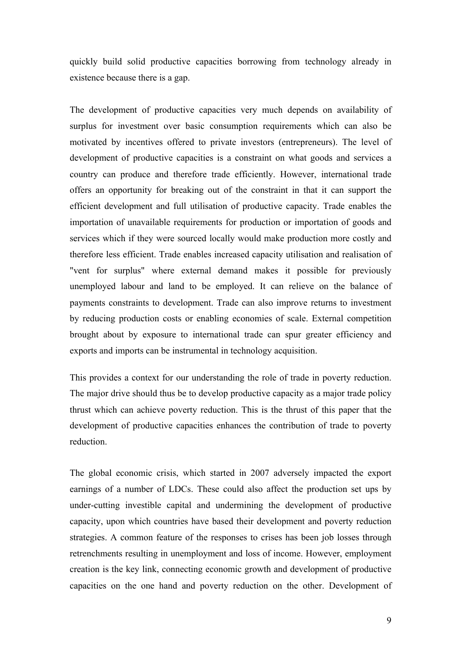quickly build solid productive capacities borrowing from technology already in existence because there is a gap.

The development of productive capacities very much depends on availability of surplus for investment over basic consumption requirements which can also be motivated by incentives offered to private investors (entrepreneurs). The level of development of productive capacities is a constraint on what goods and services a country can produce and therefore trade efficiently. However, international trade offers an opportunity for breaking out of the constraint in that it can support the efficient development and full utilisation of productive capacity. Trade enables the importation of unavailable requirements for production or importation of goods and services which if they were sourced locally would make production more costly and therefore less efficient. Trade enables increased capacity utilisation and realisation of "vent for surplus" where external demand makes it possible for previously unemployed labour and land to be employed. It can relieve on the balance of payments constraints to development. Trade can also improve returns to investment by reducing production costs or enabling economies of scale. External competition brought about by exposure to international trade can spur greater efficiency and exports and imports can be instrumental in technology acquisition.

This provides a context for our understanding the role of trade in poverty reduction. The major drive should thus be to develop productive capacity as a major trade policy thrust which can achieve poverty reduction. This is the thrust of this paper that the development of productive capacities enhances the contribution of trade to poverty reduction.

The global economic crisis, which started in 2007 adversely impacted the export earnings of a number of LDCs. These could also affect the production set ups by under-cutting investible capital and undermining the development of productive capacity, upon which countries have based their development and poverty reduction strategies. A common feature of the responses to crises has been job losses through retrenchments resulting in unemployment and loss of income. However, employment creation is the key link, connecting economic growth and development of productive capacities on the one hand and poverty reduction on the other. Development of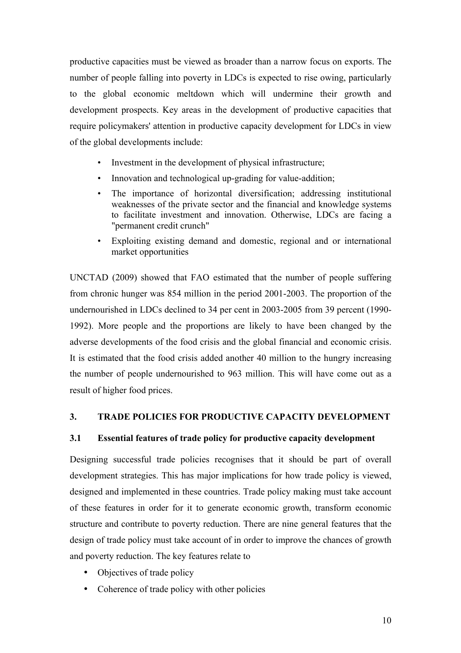productive capacities must be viewed as broader than a narrow focus on exports. The number of people falling into poverty in LDCs is expected to rise owing, particularly to the global economic meltdown which will undermine their growth and development prospects. Key areas in the development of productive capacities that require policymakers' attention in productive capacity development for LDCs in view of the global developments include:

- Investment in the development of physical infrastructure;
- Innovation and technological up-grading for value-addition;
- The importance of horizontal diversification; addressing institutional weaknesses of the private sector and the financial and knowledge systems to facilitate investment and innovation. Otherwise, LDCs are facing a "permanent credit crunch"
- Exploiting existing demand and domestic, regional and or international market opportunities

UNCTAD (2009) showed that FAO estimated that the number of people suffering from chronic hunger was 854 million in the period 2001-2003. The proportion of the undernourished in LDCs declined to 34 per cent in 2003-2005 from 39 percent (1990- 1992). More people and the proportions are likely to have been changed by the adverse developments of the food crisis and the global financial and economic crisis. It is estimated that the food crisis added another 40 million to the hungry increasing the number of people undernourished to 963 million. This will have come out as a result of higher food prices.

# **3. TRADE POLICIES FOR PRODUCTIVE CAPACITY DEVELOPMENT**

# **3.1 Essential features of trade policy for productive capacity development**

Designing successful trade policies recognises that it should be part of overall development strategies. This has major implications for how trade policy is viewed, designed and implemented in these countries. Trade policy making must take account of these features in order for it to generate economic growth, transform economic structure and contribute to poverty reduction. There are nine general features that the design of trade policy must take account of in order to improve the chances of growth and poverty reduction. The key features relate to

- Objectives of trade policy
- Coherence of trade policy with other policies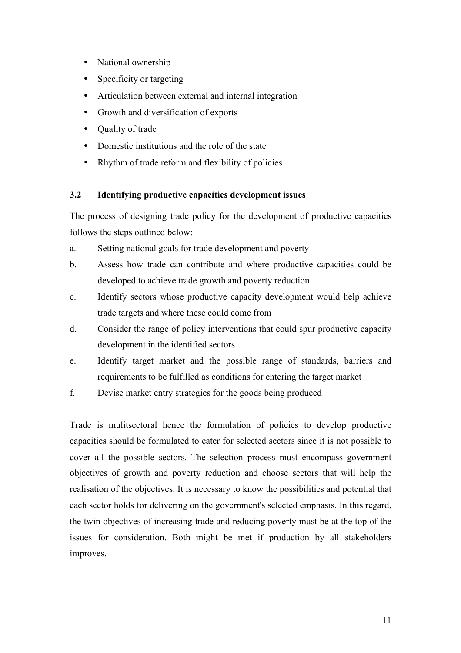- National ownership
- Specificity or targeting
- Articulation between external and internal integration
- Growth and diversification of exports
- Quality of trade
- Domestic institutions and the role of the state
- Rhythm of trade reform and flexibility of policies

# **3.2 Identifying productive capacities development issues**

The process of designing trade policy for the development of productive capacities follows the steps outlined below:

- a. Setting national goals for trade development and poverty
- b. Assess how trade can contribute and where productive capacities could be developed to achieve trade growth and poverty reduction
- c. Identify sectors whose productive capacity development would help achieve trade targets and where these could come from
- d. Consider the range of policy interventions that could spur productive capacity development in the identified sectors
- e. Identify target market and the possible range of standards, barriers and requirements to be fulfilled as conditions for entering the target market
- f. Devise market entry strategies for the goods being produced

Trade is mulitsectoral hence the formulation of policies to develop productive capacities should be formulated to cater for selected sectors since it is not possible to cover all the possible sectors. The selection process must encompass government objectives of growth and poverty reduction and choose sectors that will help the realisation of the objectives. It is necessary to know the possibilities and potential that each sector holds for delivering on the government's selected emphasis. In this regard, the twin objectives of increasing trade and reducing poverty must be at the top of the issues for consideration. Both might be met if production by all stakeholders improves.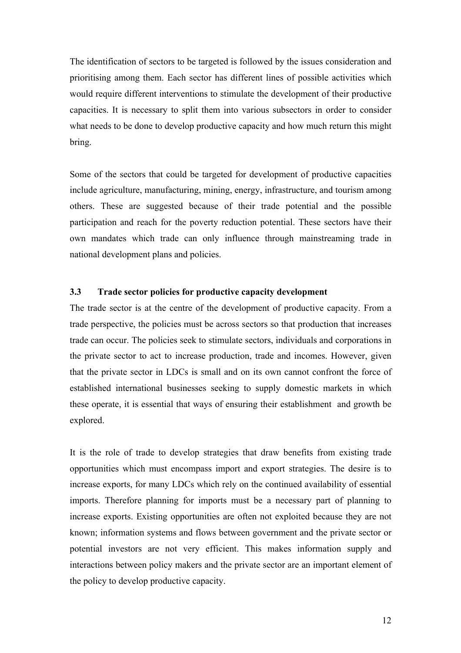The identification of sectors to be targeted is followed by the issues consideration and prioritising among them. Each sector has different lines of possible activities which would require different interventions to stimulate the development of their productive capacities. It is necessary to split them into various subsectors in order to consider what needs to be done to develop productive capacity and how much return this might bring.

Some of the sectors that could be targeted for development of productive capacities include agriculture, manufacturing, mining, energy, infrastructure, and tourism among others. These are suggested because of their trade potential and the possible participation and reach for the poverty reduction potential. These sectors have their own mandates which trade can only influence through mainstreaming trade in national development plans and policies.

## **3.3 Trade sector policies for productive capacity development**

The trade sector is at the centre of the development of productive capacity. From a trade perspective, the policies must be across sectors so that production that increases trade can occur. The policies seek to stimulate sectors, individuals and corporations in the private sector to act to increase production, trade and incomes. However, given that the private sector in LDCs is small and on its own cannot confront the force of established international businesses seeking to supply domestic markets in which these operate, it is essential that ways of ensuring their establishment and growth be explored.

It is the role of trade to develop strategies that draw benefits from existing trade opportunities which must encompass import and export strategies. The desire is to increase exports, for many LDCs which rely on the continued availability of essential imports. Therefore planning for imports must be a necessary part of planning to increase exports. Existing opportunities are often not exploited because they are not known; information systems and flows between government and the private sector or potential investors are not very efficient. This makes information supply and interactions between policy makers and the private sector are an important element of the policy to develop productive capacity.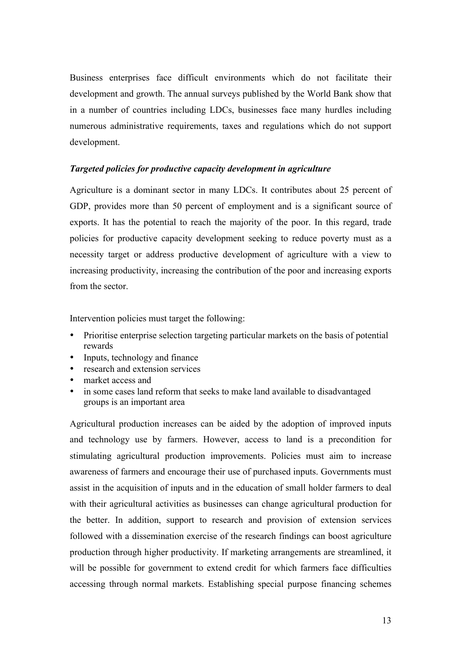Business enterprises face difficult environments which do not facilitate their development and growth. The annual surveys published by the World Bank show that in a number of countries including LDCs, businesses face many hurdles including numerous administrative requirements, taxes and regulations which do not support development.

## *Targeted policies for productive capacity development in agriculture*

Agriculture is a dominant sector in many LDCs. It contributes about 25 percent of GDP, provides more than 50 percent of employment and is a significant source of exports. It has the potential to reach the majority of the poor. In this regard, trade policies for productive capacity development seeking to reduce poverty must as a necessity target or address productive development of agriculture with a view to increasing productivity, increasing the contribution of the poor and increasing exports from the sector.

Intervention policies must target the following:

- Prioritise enterprise selection targeting particular markets on the basis of potential rewards
- Inputs, technology and finance
- research and extension services<br>• market access and
- market access and
- in some cases land reform that seeks to make land available to disadvantaged groups is an important area

Agricultural production increases can be aided by the adoption of improved inputs and technology use by farmers. However, access to land is a precondition for stimulating agricultural production improvements. Policies must aim to increase awareness of farmers and encourage their use of purchased inputs. Governments must assist in the acquisition of inputs and in the education of small holder farmers to deal with their agricultural activities as businesses can change agricultural production for the better. In addition, support to research and provision of extension services followed with a dissemination exercise of the research findings can boost agriculture production through higher productivity. If marketing arrangements are streamlined, it will be possible for government to extend credit for which farmers face difficulties accessing through normal markets. Establishing special purpose financing schemes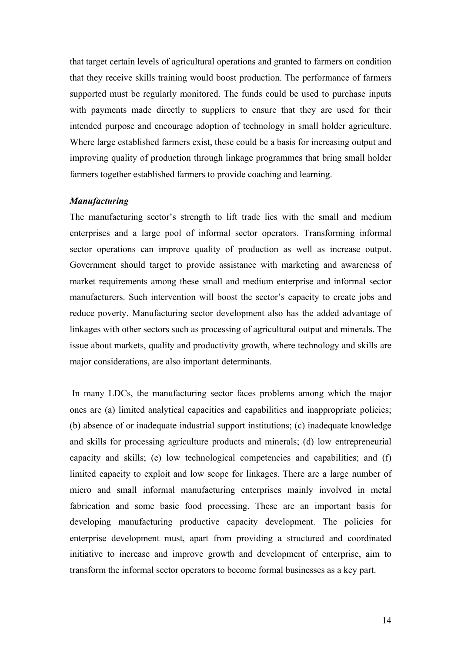that target certain levels of agricultural operations and granted to farmers on condition that they receive skills training would boost production. The performance of farmers supported must be regularly monitored. The funds could be used to purchase inputs with payments made directly to suppliers to ensure that they are used for their intended purpose and encourage adoption of technology in small holder agriculture. Where large established farmers exist, these could be a basis for increasing output and improving quality of production through linkage programmes that bring small holder farmers together established farmers to provide coaching and learning.

# *Manufacturing*

The manufacturing sector's strength to lift trade lies with the small and medium enterprises and a large pool of informal sector operators. Transforming informal sector operations can improve quality of production as well as increase output. Government should target to provide assistance with marketing and awareness of market requirements among these small and medium enterprise and informal sector manufacturers. Such intervention will boost the sector's capacity to create jobs and reduce poverty. Manufacturing sector development also has the added advantage of linkages with other sectors such as processing of agricultural output and minerals. The issue about markets, quality and productivity growth, where technology and skills are major considerations, are also important determinants.

In many LDCs, the manufacturing sector faces problems among which the major ones are (a) limited analytical capacities and capabilities and inappropriate policies; (b) absence of or inadequate industrial support institutions; (c) inadequate knowledge and skills for processing agriculture products and minerals; (d) low entrepreneurial capacity and skills; (e) low technological competencies and capabilities; and (f) limited capacity to exploit and low scope for linkages. There are a large number of micro and small informal manufacturing enterprises mainly involved in metal fabrication and some basic food processing. These are an important basis for developing manufacturing productive capacity development. The policies for enterprise development must, apart from providing a structured and coordinated initiative to increase and improve growth and development of enterprise, aim to transform the informal sector operators to become formal businesses as a key part.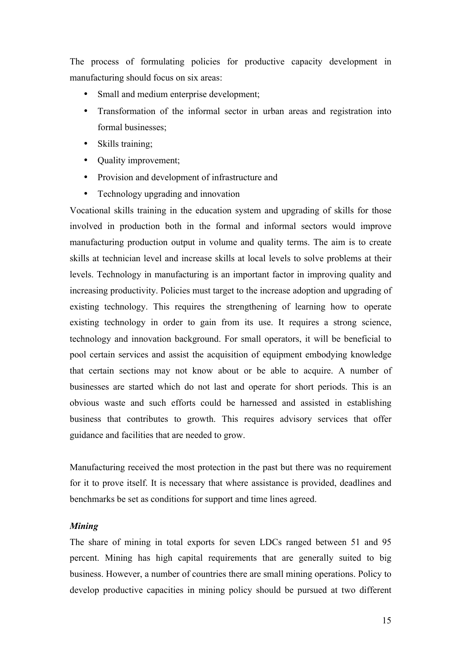The process of formulating policies for productive capacity development in manufacturing should focus on six areas:

- Small and medium enterprise development;
- Transformation of the informal sector in urban areas and registration into formal businesses;
- Skills training;
- Quality improvement;
- Provision and development of infrastructure and
- Technology upgrading and innovation

Vocational skills training in the education system and upgrading of skills for those involved in production both in the formal and informal sectors would improve manufacturing production output in volume and quality terms. The aim is to create skills at technician level and increase skills at local levels to solve problems at their levels. Technology in manufacturing is an important factor in improving quality and increasing productivity. Policies must target to the increase adoption and upgrading of existing technology. This requires the strengthening of learning how to operate existing technology in order to gain from its use. It requires a strong science, technology and innovation background. For small operators, it will be beneficial to pool certain services and assist the acquisition of equipment embodying knowledge that certain sections may not know about or be able to acquire. A number of businesses are started which do not last and operate for short periods. This is an obvious waste and such efforts could be harnessed and assisted in establishing business that contributes to growth. This requires advisory services that offer guidance and facilities that are needed to grow.

Manufacturing received the most protection in the past but there was no requirement for it to prove itself. It is necessary that where assistance is provided, deadlines and benchmarks be set as conditions for support and time lines agreed.

#### *Mining*

The share of mining in total exports for seven LDCs ranged between 51 and 95 percent. Mining has high capital requirements that are generally suited to big business. However, a number of countries there are small mining operations. Policy to develop productive capacities in mining policy should be pursued at two different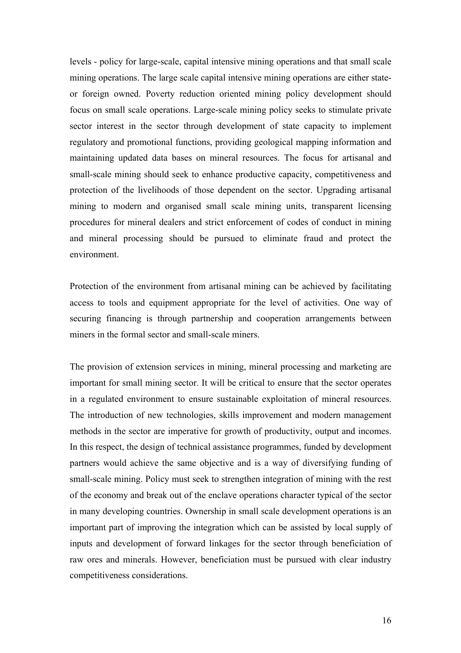levels - policy for large-scale, capital intensive mining operations and that small scale mining operations. The large scale capital intensive mining operations are either stateor foreign owned. Poverty reduction oriented mining policy development should focus on small scale operations. Large-scale mining policy seeks to stimulate private sector interest in the sector through development of state capacity to implement regulatory and promotional functions, providing geological mapping information and maintaining updated data bases on mineral resources. The focus for artisanal and small-scale mining should seek to enhance productive capacity, competitiveness and protection of the livelihoods of those dependent on the sector. Upgrading artisanal mining to modern and organised small scale mining units, transparent licensing procedures for mineral dealers and strict enforcement of codes of conduct in mining and mineral processing should be pursued to eliminate fraud and protect the environment.

Protection of the environment from artisanal mining can be achieved by facilitating access to tools and equipment appropriate for the level of activities. One way of securing financing is through partnership and cooperation arrangements between miners in the formal sector and small-scale miners.

The provision of extension services in mining, mineral processing and marketing are important for small mining sector. It will be critical to ensure that the sector operates in a regulated environment to ensure sustainable exploitation of mineral resources. The introduction of new technologies, skills improvement and modern management methods in the sector are imperative for growth of productivity, output and incomes. In this respect, the design of technical assistance programmes, funded by development partners would achieve the same objective and is a way of diversifying funding of small-scale mining. Policy must seek to strengthen integration of mining with the rest of the economy and break out of the enclave operations character typical of the sector in many developing countries. Ownership in small scale development operations is an important part of improving the integration which can be assisted by local supply of inputs and development of forward linkages for the sector through beneficiation of raw ores and minerals. However, beneficiation must be pursued with clear industry competitiveness considerations.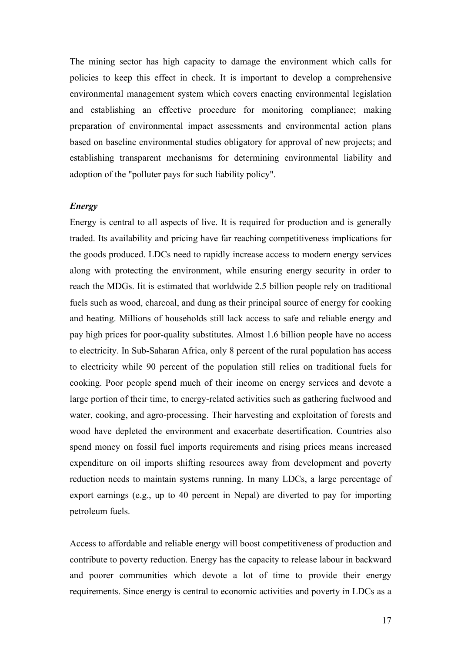The mining sector has high capacity to damage the environment which calls for policies to keep this effect in check. It is important to develop a comprehensive environmental management system which covers enacting environmental legislation and establishing an effective procedure for monitoring compliance; making preparation of environmental impact assessments and environmental action plans based on baseline environmental studies obligatory for approval of new projects; and establishing transparent mechanisms for determining environmental liability and adoption of the "polluter pays for such liability policy".

#### *Energy*

Energy is central to all aspects of live. It is required for production and is generally traded. Its availability and pricing have far reaching competitiveness implications for the goods produced. LDCs need to rapidly increase access to modern energy services along with protecting the environment, while ensuring energy security in order to reach the MDGs. Iit is estimated that worldwide 2.5 billion people rely on traditional fuels such as wood, charcoal, and dung as their principal source of energy for cooking and heating. Millions of households still lack access to safe and reliable energy and pay high prices for poor-quality substitutes. Almost 1.6 billion people have no access to electricity. In Sub-Saharan Africa, only 8 percent of the rural population has access to electricity while 90 percent of the population still relies on traditional fuels for cooking. Poor people spend much of their income on energy services and devote a large portion of their time, to energy-related activities such as gathering fuelwood and water, cooking, and agro-processing. Their harvesting and exploitation of forests and wood have depleted the environment and exacerbate desertification. Countries also spend money on fossil fuel imports requirements and rising prices means increased expenditure on oil imports shifting resources away from development and poverty reduction needs to maintain systems running. In many LDCs, a large percentage of export earnings (e.g., up to 40 percent in Nepal) are diverted to pay for importing petroleum fuels.

Access to affordable and reliable energy will boost competitiveness of production and contribute to poverty reduction. Energy has the capacity to release labour in backward and poorer communities which devote a lot of time to provide their energy requirements. Since energy is central to economic activities and poverty in LDCs as a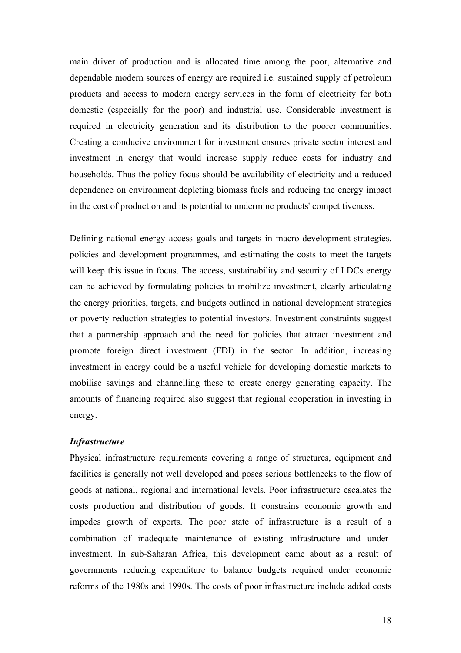main driver of production and is allocated time among the poor, alternative and dependable modern sources of energy are required i.e. sustained supply of petroleum products and access to modern energy services in the form of electricity for both domestic (especially for the poor) and industrial use. Considerable investment is required in electricity generation and its distribution to the poorer communities. Creating a conducive environment for investment ensures private sector interest and investment in energy that would increase supply reduce costs for industry and households. Thus the policy focus should be availability of electricity and a reduced dependence on environment depleting biomass fuels and reducing the energy impact in the cost of production and its potential to undermine products' competitiveness.

Defining national energy access goals and targets in macro-development strategies, policies and development programmes, and estimating the costs to meet the targets will keep this issue in focus. The access, sustainability and security of LDCs energy can be achieved by formulating policies to mobilize investment, clearly articulating the energy priorities, targets, and budgets outlined in national development strategies or poverty reduction strategies to potential investors. Investment constraints suggest that a partnership approach and the need for policies that attract investment and promote foreign direct investment (FDI) in the sector. In addition, increasing investment in energy could be a useful vehicle for developing domestic markets to mobilise savings and channelling these to create energy generating capacity. The amounts of financing required also suggest that regional cooperation in investing in energy.

#### *Infrastructure*

Physical infrastructure requirements covering a range of structures, equipment and facilities is generally not well developed and poses serious bottlenecks to the flow of goods at national, regional and international levels. Poor infrastructure escalates the costs production and distribution of goods. It constrains economic growth and impedes growth of exports. The poor state of infrastructure is a result of a combination of inadequate maintenance of existing infrastructure and underinvestment. In sub-Saharan Africa, this development came about as a result of governments reducing expenditure to balance budgets required under economic reforms of the 1980s and 1990s. The costs of poor infrastructure include added costs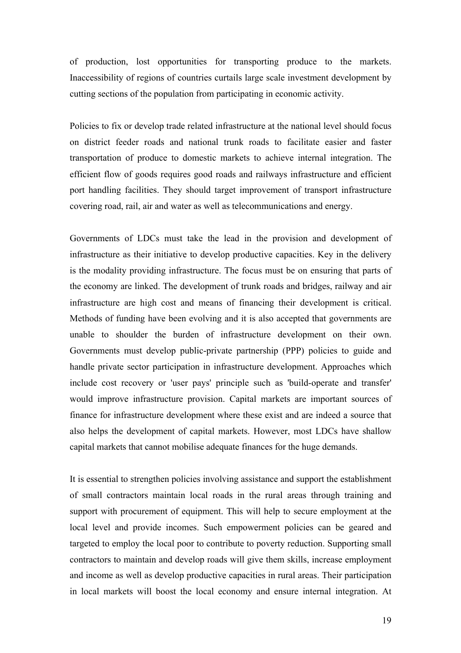of production, lost opportunities for transporting produce to the markets. Inaccessibility of regions of countries curtails large scale investment development by cutting sections of the population from participating in economic activity.

Policies to fix or develop trade related infrastructure at the national level should focus on district feeder roads and national trunk roads to facilitate easier and faster transportation of produce to domestic markets to achieve internal integration. The efficient flow of goods requires good roads and railways infrastructure and efficient port handling facilities. They should target improvement of transport infrastructure covering road, rail, air and water as well as telecommunications and energy.

Governments of LDCs must take the lead in the provision and development of infrastructure as their initiative to develop productive capacities. Key in the delivery is the modality providing infrastructure. The focus must be on ensuring that parts of the economy are linked. The development of trunk roads and bridges, railway and air infrastructure are high cost and means of financing their development is critical. Methods of funding have been evolving and it is also accepted that governments are unable to shoulder the burden of infrastructure development on their own. Governments must develop public-private partnership (PPP) policies to guide and handle private sector participation in infrastructure development. Approaches which include cost recovery or 'user pays' principle such as 'build-operate and transfer' would improve infrastructure provision. Capital markets are important sources of finance for infrastructure development where these exist and are indeed a source that also helps the development of capital markets. However, most LDCs have shallow capital markets that cannot mobilise adequate finances for the huge demands.

It is essential to strengthen policies involving assistance and support the establishment of small contractors maintain local roads in the rural areas through training and support with procurement of equipment. This will help to secure employment at the local level and provide incomes. Such empowerment policies can be geared and targeted to employ the local poor to contribute to poverty reduction. Supporting small contractors to maintain and develop roads will give them skills, increase employment and income as well as develop productive capacities in rural areas. Their participation in local markets will boost the local economy and ensure internal integration. At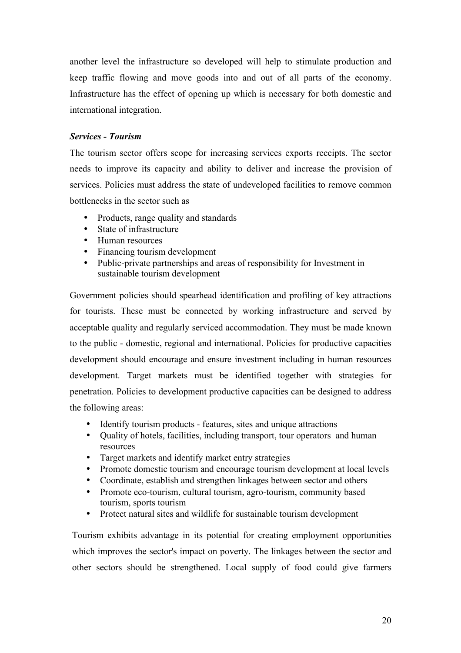another level the infrastructure so developed will help to stimulate production and keep traffic flowing and move goods into and out of all parts of the economy. Infrastructure has the effect of opening up which is necessary for both domestic and international integration.

# *Services - Tourism*

The tourism sector offers scope for increasing services exports receipts. The sector needs to improve its capacity and ability to deliver and increase the provision of services. Policies must address the state of undeveloped facilities to remove common bottlenecks in the sector such as

- Products, range quality and standards
- State of infrastructure
- Human resources
- Financing tourism development
- Public-private partnerships and areas of responsibility for Investment in sustainable tourism development

Government policies should spearhead identification and profiling of key attractions for tourists. These must be connected by working infrastructure and served by acceptable quality and regularly serviced accommodation. They must be made known to the public - domestic, regional and international. Policies for productive capacities development should encourage and ensure investment including in human resources development. Target markets must be identified together with strategies for penetration. Policies to development productive capacities can be designed to address the following areas:

- Identify tourism products features, sites and unique attractions
- Quality of hotels, facilities, including transport, tour operators and human resources
- Target markets and identify market entry strategies
- Promote domestic tourism and encourage tourism development at local levels
- Coordinate, establish and strengthen linkages between sector and others
- Promote eco-tourism, cultural tourism, agro-tourism, community based tourism, sports tourism
- Protect natural sites and wildlife for sustainable tourism development

Tourism exhibits advantage in its potential for creating employment opportunities which improves the sector's impact on poverty. The linkages between the sector and other sectors should be strengthened. Local supply of food could give farmers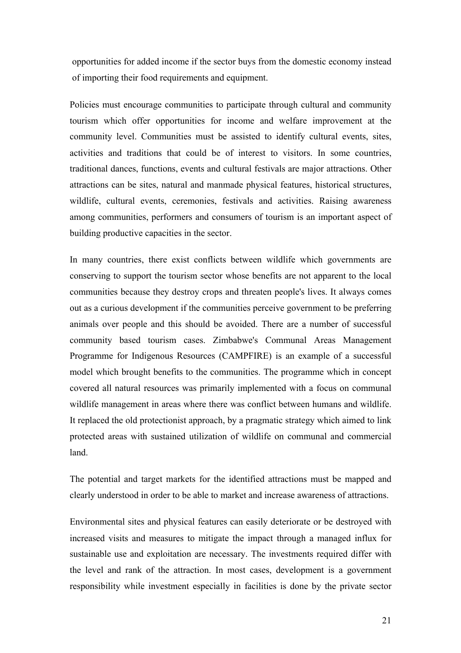opportunities for added income if the sector buys from the domestic economy instead of importing their food requirements and equipment.

Policies must encourage communities to participate through cultural and community tourism which offer opportunities for income and welfare improvement at the community level. Communities must be assisted to identify cultural events, sites, activities and traditions that could be of interest to visitors. In some countries, traditional dances, functions, events and cultural festivals are major attractions. Other attractions can be sites, natural and manmade physical features, historical structures, wildlife, cultural events, ceremonies, festivals and activities. Raising awareness among communities, performers and consumers of tourism is an important aspect of building productive capacities in the sector.

In many countries, there exist conflicts between wildlife which governments are conserving to support the tourism sector whose benefits are not apparent to the local communities because they destroy crops and threaten people's lives. It always comes out as a curious development if the communities perceive government to be preferring animals over people and this should be avoided. There are a number of successful community based tourism cases. Zimbabwe's Communal Areas Management Programme for Indigenous Resources (CAMPFIRE) is an example of a successful model which brought benefits to the communities. The programme which in concept covered all natural resources was primarily implemented with a focus on communal wildlife management in areas where there was conflict between humans and wildlife. It replaced the old protectionist approach, by a pragmatic strategy which aimed to link protected areas with sustained utilization of wildlife on communal and commercial land.

The potential and target markets for the identified attractions must be mapped and clearly understood in order to be able to market and increase awareness of attractions.

Environmental sites and physical features can easily deteriorate or be destroyed with increased visits and measures to mitigate the impact through a managed influx for sustainable use and exploitation are necessary. The investments required differ with the level and rank of the attraction. In most cases, development is a government responsibility while investment especially in facilities is done by the private sector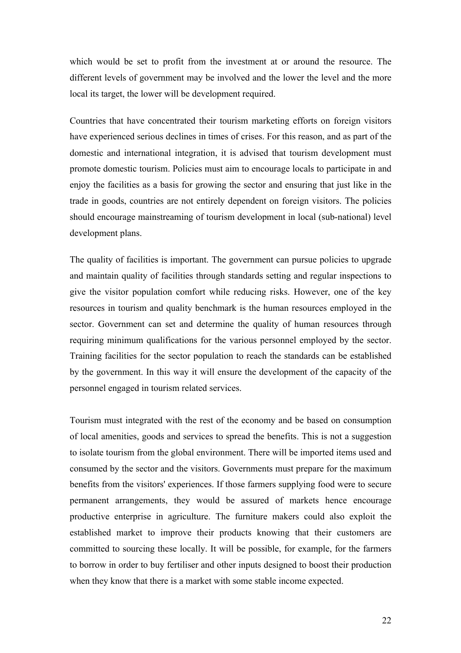which would be set to profit from the investment at or around the resource. The different levels of government may be involved and the lower the level and the more local its target, the lower will be development required.

Countries that have concentrated their tourism marketing efforts on foreign visitors have experienced serious declines in times of crises. For this reason, and as part of the domestic and international integration, it is advised that tourism development must promote domestic tourism. Policies must aim to encourage locals to participate in and enjoy the facilities as a basis for growing the sector and ensuring that just like in the trade in goods, countries are not entirely dependent on foreign visitors. The policies should encourage mainstreaming of tourism development in local (sub-national) level development plans.

The quality of facilities is important. The government can pursue policies to upgrade and maintain quality of facilities through standards setting and regular inspections to give the visitor population comfort while reducing risks. However, one of the key resources in tourism and quality benchmark is the human resources employed in the sector. Government can set and determine the quality of human resources through requiring minimum qualifications for the various personnel employed by the sector. Training facilities for the sector population to reach the standards can be established by the government. In this way it will ensure the development of the capacity of the personnel engaged in tourism related services.

Tourism must integrated with the rest of the economy and be based on consumption of local amenities, goods and services to spread the benefits. This is not a suggestion to isolate tourism from the global environment. There will be imported items used and consumed by the sector and the visitors. Governments must prepare for the maximum benefits from the visitors' experiences. If those farmers supplying food were to secure permanent arrangements, they would be assured of markets hence encourage productive enterprise in agriculture. The furniture makers could also exploit the established market to improve their products knowing that their customers are committed to sourcing these locally. It will be possible, for example, for the farmers to borrow in order to buy fertiliser and other inputs designed to boost their production when they know that there is a market with some stable income expected.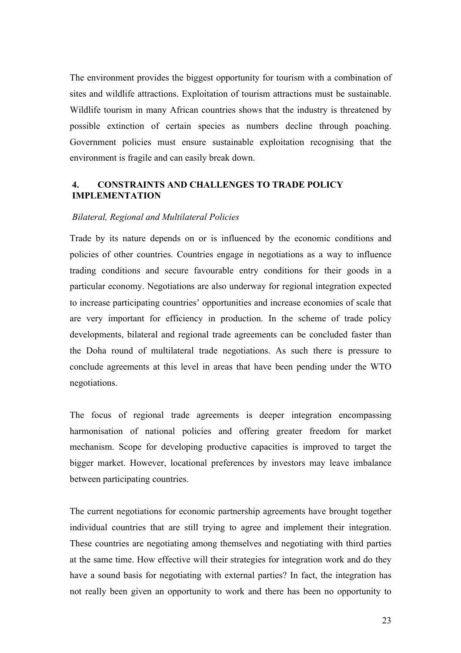The environment provides the biggest opportunity for tourism with a combination of sites and wildlife attractions. Exploitation of tourism attractions must be sustainable. Wildlife tourism in many African countries shows that the industry is threatened by possible extinction of certain species as numbers decline through poaching. Government policies must ensure sustainable exploitation recognising that the environment is fragile and can easily break down.

# **4. CONSTRAINTS AND CHALLENGES TO TRADE POLICY IMPLEMENTATION**

#### *Bilateral, Regional and Multilateral Policies*

Trade by its nature depends on or is influenced by the economic conditions and policies of other countries. Countries engage in negotiations as a way to influence trading conditions and secure favourable entry conditions for their goods in a particular economy. Negotiations are also underway for regional integration expected to increase participating countries' opportunities and increase economies of scale that are very important for efficiency in production. In the scheme of trade policy developments, bilateral and regional trade agreements can be concluded faster than the Doha round of multilateral trade negotiations. As such there is pressure to conclude agreements at this level in areas that have been pending under the WTO negotiations.

The focus of regional trade agreements is deeper integration encompassing harmonisation of national policies and offering greater freedom for market mechanism. Scope for developing productive capacities is improved to target the bigger market. However, locational preferences by investors may leave imbalance between participating countries.

The current negotiations for economic partnership agreements have brought together individual countries that are still trying to agree and implement their integration. These countries are negotiating among themselves and negotiating with third parties at the same time. How effective will their strategies for integration work and do they have a sound basis for negotiating with external parties? In fact, the integration has not really been given an opportunity to work and there has been no opportunity to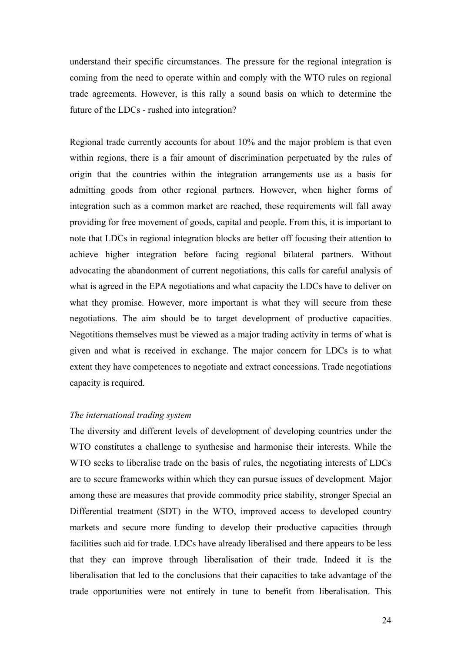understand their specific circumstances. The pressure for the regional integration is coming from the need to operate within and comply with the WTO rules on regional trade agreements. However, is this rally a sound basis on which to determine the future of the LDCs - rushed into integration?

Regional trade currently accounts for about 10% and the major problem is that even within regions, there is a fair amount of discrimination perpetuated by the rules of origin that the countries within the integration arrangements use as a basis for admitting goods from other regional partners. However, when higher forms of integration such as a common market are reached, these requirements will fall away providing for free movement of goods, capital and people. From this, it is important to note that LDCs in regional integration blocks are better off focusing their attention to achieve higher integration before facing regional bilateral partners. Without advocating the abandonment of current negotiations, this calls for careful analysis of what is agreed in the EPA negotiations and what capacity the LDCs have to deliver on what they promise. However, more important is what they will secure from these negotiations. The aim should be to target development of productive capacities. Negotitions themselves must be viewed as a major trading activity in terms of what is given and what is received in exchange. The major concern for LDCs is to what extent they have competences to negotiate and extract concessions. Trade negotiations capacity is required.

#### *The international trading system*

The diversity and different levels of development of developing countries under the WTO constitutes a challenge to synthesise and harmonise their interests. While the WTO seeks to liberalise trade on the basis of rules, the negotiating interests of LDCs are to secure frameworks within which they can pursue issues of development. Major among these are measures that provide commodity price stability, stronger Special an Differential treatment (SDT) in the WTO, improved access to developed country markets and secure more funding to develop their productive capacities through facilities such aid for trade. LDCs have already liberalised and there appears to be less that they can improve through liberalisation of their trade. Indeed it is the liberalisation that led to the conclusions that their capacities to take advantage of the trade opportunities were not entirely in tune to benefit from liberalisation. This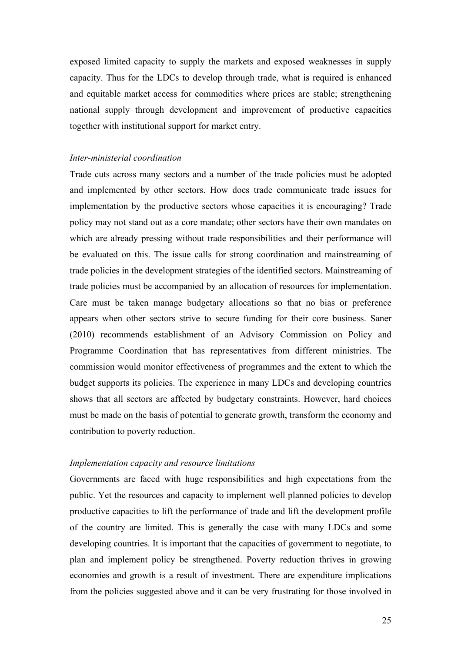exposed limited capacity to supply the markets and exposed weaknesses in supply capacity. Thus for the LDCs to develop through trade, what is required is enhanced and equitable market access for commodities where prices are stable; strengthening national supply through development and improvement of productive capacities together with institutional support for market entry.

#### *Inter-ministerial coordination*

Trade cuts across many sectors and a number of the trade policies must be adopted and implemented by other sectors. How does trade communicate trade issues for implementation by the productive sectors whose capacities it is encouraging? Trade policy may not stand out as a core mandate; other sectors have their own mandates on which are already pressing without trade responsibilities and their performance will be evaluated on this. The issue calls for strong coordination and mainstreaming of trade policies in the development strategies of the identified sectors. Mainstreaming of trade policies must be accompanied by an allocation of resources for implementation. Care must be taken manage budgetary allocations so that no bias or preference appears when other sectors strive to secure funding for their core business. Saner (2010) recommends establishment of an Advisory Commission on Policy and Programme Coordination that has representatives from different ministries. The commission would monitor effectiveness of programmes and the extent to which the budget supports its policies. The experience in many LDCs and developing countries shows that all sectors are affected by budgetary constraints. However, hard choices must be made on the basis of potential to generate growth, transform the economy and contribution to poverty reduction.

#### *Implementation capacity and resource limitations*

Governments are faced with huge responsibilities and high expectations from the public. Yet the resources and capacity to implement well planned policies to develop productive capacities to lift the performance of trade and lift the development profile of the country are limited. This is generally the case with many LDCs and some developing countries. It is important that the capacities of government to negotiate, to plan and implement policy be strengthened. Poverty reduction thrives in growing economies and growth is a result of investment. There are expenditure implications from the policies suggested above and it can be very frustrating for those involved in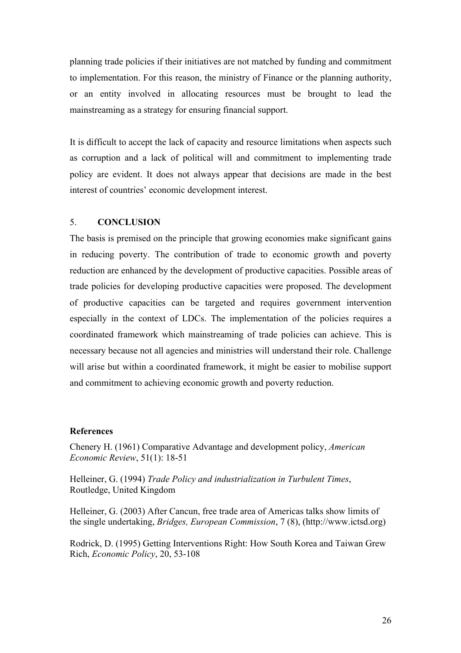planning trade policies if their initiatives are not matched by funding and commitment to implementation. For this reason, the ministry of Finance or the planning authority, or an entity involved in allocating resources must be brought to lead the mainstreaming as a strategy for ensuring financial support.

It is difficult to accept the lack of capacity and resource limitations when aspects such as corruption and a lack of political will and commitment to implementing trade policy are evident. It does not always appear that decisions are made in the best interest of countries' economic development interest.

## 5. **CONCLUSION**

The basis is premised on the principle that growing economies make significant gains in reducing poverty. The contribution of trade to economic growth and poverty reduction are enhanced by the development of productive capacities. Possible areas of trade policies for developing productive capacities were proposed. The development of productive capacities can be targeted and requires government intervention especially in the context of LDCs. The implementation of the policies requires a coordinated framework which mainstreaming of trade policies can achieve. This is necessary because not all agencies and ministries will understand their role. Challenge will arise but within a coordinated framework, it might be easier to mobilise support and commitment to achieving economic growth and poverty reduction.

## **References**

Chenery H. (1961) Comparative Advantage and development policy, *American Economic Review*, 51(1): 18-51

Helleiner, G. (1994) *Trade Policy and industrialization in Turbulent Times*, Routledge, United Kingdom

Helleiner, G. (2003) After Cancun, free trade area of Americas talks show limits of the single undertaking, *Bridges, European Commission*, 7 (8), (http://www.ictsd.org)

Rodrick, D. (1995) Getting Interventions Right: How South Korea and Taiwan Grew Rich, *Economic Policy*, 20, 53-108